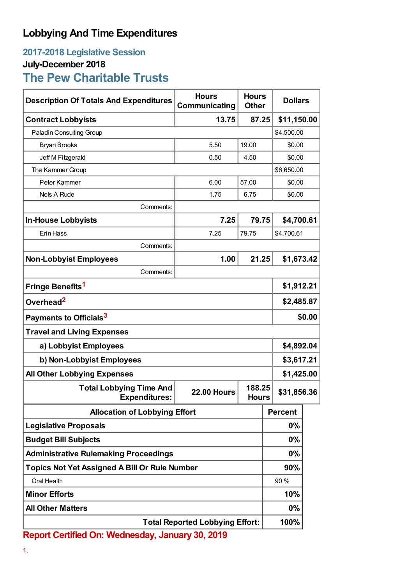## **Lobbying And Time Expenditures**

## **2017-2018 Legislative Session July-December 2018**

## **The Pew Charitable Trusts**

| <b>Description Of Totals And Expenditures</b>                                | <b>Hours</b><br>Communicating | <b>Hours</b><br><b>Other</b> | <b>Dollars</b> |  |
|------------------------------------------------------------------------------|-------------------------------|------------------------------|----------------|--|
| <b>Contract Lobbyists</b>                                                    | 13.75                         | 87.25                        | \$11,150.00    |  |
| Paladin Consulting Group                                                     |                               |                              | \$4,500.00     |  |
| <b>Bryan Brooks</b>                                                          | 5.50                          | 19.00                        | \$0.00         |  |
| Jeff M Fitzgerald                                                            | 0.50                          | 4.50                         | \$0.00         |  |
| The Kammer Group                                                             |                               | \$6,650.00                   |                |  |
| Peter Kammer                                                                 | 6.00                          | 57.00                        | \$0.00         |  |
| <b>Nels A Rude</b>                                                           | 1.75                          | 6.75                         | \$0.00         |  |
| Comments:                                                                    |                               |                              |                |  |
| <b>In-House Lobbyists</b>                                                    | 7.25                          | 79.75                        | \$4,700.61     |  |
| Erin Hass                                                                    | 7.25                          | 79.75                        | \$4,700.61     |  |
| Comments:                                                                    |                               |                              |                |  |
| <b>Non-Lobbyist Employees</b>                                                | 1.00                          | 21.25                        | \$1,673.42     |  |
| Comments:                                                                    |                               |                              |                |  |
| Fringe Benefits <sup>1</sup>                                                 |                               |                              | \$1,912.21     |  |
| Overhead <sup>2</sup>                                                        |                               |                              | \$2,485.87     |  |
| Payments to Officials <sup>3</sup>                                           |                               |                              | \$0.00         |  |
| <b>Travel and Living Expenses</b>                                            |                               |                              |                |  |
| a) Lobbyist Employees                                                        |                               |                              | \$4,892.04     |  |
| b) Non-Lobbyist Employees                                                    |                               |                              | \$3,617.21     |  |
| <b>All Other Lobbying Expenses</b>                                           |                               |                              | \$1,425.00     |  |
| <b>Total Lobbying Time And</b><br><b>22.00 Hours</b><br><b>Expenditures:</b> |                               | 188.25<br>Hours              | \$31,856.36    |  |
| <b>Allocation of Lobbying Effort</b>                                         |                               |                              | <b>Percent</b> |  |
| <b>Legislative Proposals</b>                                                 |                               |                              | 0%             |  |
| <b>Budget Bill Subjects</b>                                                  |                               |                              | $0\%$          |  |
| <b>Administrative Rulemaking Proceedings</b>                                 |                               |                              | 0%             |  |
| <b>Topics Not Yet Assigned A Bill Or Rule Number</b>                         |                               |                              | 90%            |  |
| Oral Health                                                                  |                               |                              | 90 %           |  |
| <b>Minor Efforts</b>                                                         |                               |                              | 10%            |  |
| <b>All Other Matters</b>                                                     |                               |                              | 0%             |  |
| <b>Total Reported Lobbying Effort:</b>                                       |                               |                              | 100%           |  |

**Report Certified On: Wednesday, January 30, 2019**